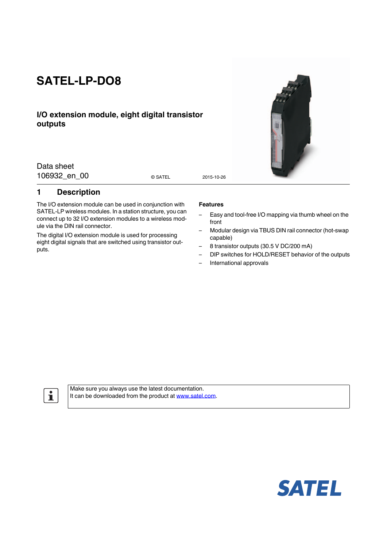# **SATEL-LP-DO8**

## **I/O extension module, eight digital transistor outputs**

Data sheet 106932 en 00 0 satel 2015-10-26

© SATEL

## <span id="page-0-0"></span>**1 Description**

The I/O extension module can be used in conjunction with SATEL-LP wireless modules. In a station structure, you can connect up to 32 I/O extension modules to a wireless module via the DIN rail connector.

The digital I/O extension module is used for processing eight digital signals that are switched using transistor outputs.

#### **Features**

- Easy and tool-free I/O mapping via thumb wheel on the front
- Modular design via TBUS DIN rail connector (hot-swap capable)
- 8 transistor outputs (30.5 V DC/200 mA)
- DIP switches for HOLD/RESET behavior of the outputs
- International approvals

 $\mathbf{i}$ 

Make sure you always use the latest documentation. It can be downloaded from the product at www.satel.com.



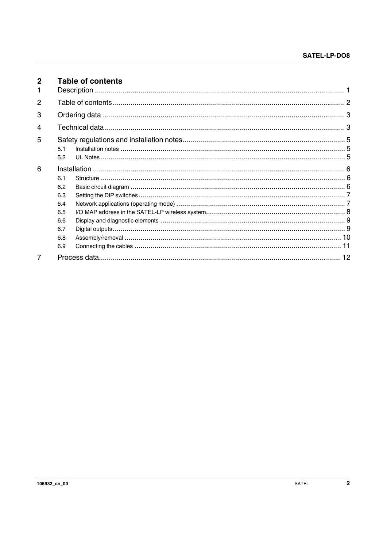<span id="page-1-0"></span>

| $\mathbf{2}$   |     | <b>Table of contents</b> |  |
|----------------|-----|--------------------------|--|
|                |     |                          |  |
| $\overline{2}$ |     |                          |  |
| 3              |     |                          |  |
| 4              |     |                          |  |
| 5              |     |                          |  |
|                | 51  |                          |  |
|                | 5.2 |                          |  |
| 6              |     |                          |  |
|                | 61  |                          |  |
|                | 6.2 |                          |  |
|                | 6.3 |                          |  |
|                | 6.4 |                          |  |
|                | 6.5 |                          |  |
|                | 6.6 |                          |  |
|                | 6.7 |                          |  |
|                | 6.8 |                          |  |
|                | 6.9 |                          |  |
| 7              |     |                          |  |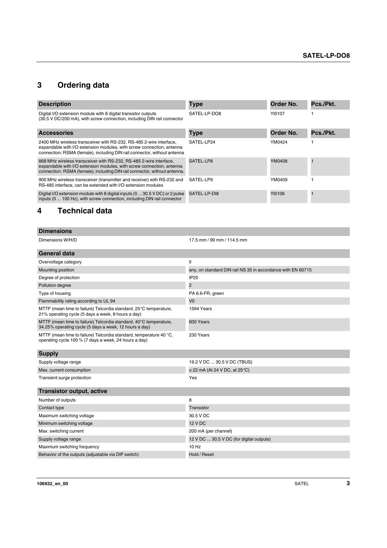## <span id="page-2-0"></span>**3 Ordering data**

| <b>Description</b>                                                                                                                                                                                                       | <b>Type</b>  | Order No. | Pcs./Pkt. |
|--------------------------------------------------------------------------------------------------------------------------------------------------------------------------------------------------------------------------|--------------|-----------|-----------|
| Digital I/O extension module with 8 digital transistor outputs<br>(30.5 V DC/200 mA), with screw connection, including DIN rail connector                                                                                | SATEL-LP-DO8 | YI0107    |           |
| <b>Accessories</b>                                                                                                                                                                                                       | <b>Type</b>  | Order No. | Pcs./Pkt. |
| 2400 MHz wireless transceiver with RS-232, RS-485 2-wire interface,<br>expandable with I/O extension modules, with screw connection, antenna<br>connection: RSMA (female), including DIN rail connector, without antenna | SATEL-LP24   | YM0424    |           |
| 868 MHz wireless transceiver with RS-232, RS-485 2-wire interface,<br>expandable with I/O extension modules, with screw connection, antenna<br>connection: RSMA (female), including DIN rail connector, without antenna. | SATEL-LP8    | YM0408    |           |
| 900 MHz wireless transceiver (transmitter and receiver) with RS-232 and<br>RS-485 interface, can be extended with I/O extension modules                                                                                  | SATEL-LP9    | YM0409    |           |
| Digital I/O extension module with 8 digital inputs (0  30.5 V DC) or 2 pulse<br>inputs (0  100 Hz), with screw connection, including DIN rail connector                                                                  | SATEL-LP-DI8 | YI0106    |           |

## <span id="page-2-1"></span>**4 Technical data**

| <b>Dimensions</b>                                                                                                           |                                                             |
|-----------------------------------------------------------------------------------------------------------------------------|-------------------------------------------------------------|
| Dimensions W/H/D                                                                                                            | 17.5 mm / 99 mm / 114.5 mm                                  |
| <b>General data</b>                                                                                                         |                                                             |
| Overvoltage category                                                                                                        | $\mathbf{I}$                                                |
| Mounting position                                                                                                           | any, on standard DIN rail NS 35 in accordance with EN 60715 |
| Degree of protection                                                                                                        | <b>IP20</b>                                                 |
| Pollution degree                                                                                                            | 2                                                           |
| Type of housing                                                                                                             | PA 6.6-FR, green                                            |
| Flammability rating according to UL 94                                                                                      | V <sub>0</sub>                                              |
| MTTF (mean time to failure) Telcordia standard, 25°C temperature,<br>21% operating cycle (5 days a week, 8 hours a day)     | 1594 Years                                                  |
| MTTF (mean time to failure) Telcordia standard, 40°C temperature,<br>34.25% operating cycle (5 days a week, 12 hours a day) | 600 Years                                                   |
| MTTF (mean time to failure) Telcordia standard, temperature 40 °C,<br>operating cycle 100 % (7 days a week, 24 hours a day) | 230 Years                                                   |
| <b>Supply</b>                                                                                                               |                                                             |
| Supply voltage range                                                                                                        | 19.2 V DC  30.5 V DC (TBUS)                                 |
| Max. current consumption                                                                                                    | $\le$ 22 mA (At 24 V DC, at 25 $^{\circ}$ C)                |
| Transient surge protection                                                                                                  | Yes                                                         |
| <b>Transistor output, active</b>                                                                                            |                                                             |
| Number of outputs                                                                                                           | 8                                                           |
| Contact type                                                                                                                | Transistor                                                  |
| Maximum switching voltage                                                                                                   | 30.5 V DC                                                   |
| Minimum switching voltage                                                                                                   | <b>12 V DC</b>                                              |
| Max. switching current                                                                                                      | 200 mA (per channel)                                        |
| Supply voltage range                                                                                                        | 12 V DC  30.5 V DC (for digital outputs)                    |
| Maximum switching frequency                                                                                                 | $10$ Hz                                                     |
| Behavior of the outputs (adjustable via DIP switch)                                                                         | Hold / Reset                                                |
|                                                                                                                             |                                                             |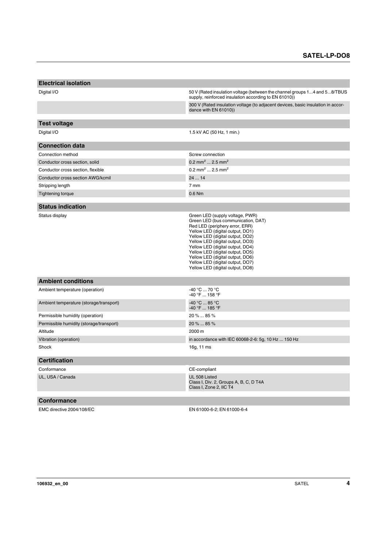| <b>Electrical isolation</b>              |                                                                                                                                                                                                                                                                                                                                                                                                         |
|------------------------------------------|---------------------------------------------------------------------------------------------------------------------------------------------------------------------------------------------------------------------------------------------------------------------------------------------------------------------------------------------------------------------------------------------------------|
| Digital I/O                              | 50 V (Rated insulation voltage (between the channel groups 14 and 58/TBUS<br>supply, reinforced insulation according to EN 61010))                                                                                                                                                                                                                                                                      |
|                                          | 300 V (Rated insulation voltage (to adjacent devices, basic insulation in accor-<br>dance with EN 61010))                                                                                                                                                                                                                                                                                               |
| <b>Test voltage</b>                      |                                                                                                                                                                                                                                                                                                                                                                                                         |
| Digital I/O                              | 1.5 kV AC (50 Hz, 1 min.)                                                                                                                                                                                                                                                                                                                                                                               |
|                                          |                                                                                                                                                                                                                                                                                                                                                                                                         |
| <b>Connection data</b>                   |                                                                                                                                                                                                                                                                                                                                                                                                         |
| Connection method                        | Screw connection                                                                                                                                                                                                                                                                                                                                                                                        |
| Conductor cross section, solid           | 0.2 mm <sup>2</sup> 2.5 mm <sup>2</sup>                                                                                                                                                                                                                                                                                                                                                                 |
| Conductor cross section, flexible        | 0.2 mm <sup>2</sup> 2.5 mm <sup>2</sup>                                                                                                                                                                                                                                                                                                                                                                 |
| Conductor cross section AWG/kcmil        | 24  14                                                                                                                                                                                                                                                                                                                                                                                                  |
| Stripping length                         | 7 mm                                                                                                                                                                                                                                                                                                                                                                                                    |
| <b>Tightening torque</b>                 | 0.6 Nm                                                                                                                                                                                                                                                                                                                                                                                                  |
| <b>Status indication</b>                 |                                                                                                                                                                                                                                                                                                                                                                                                         |
| Status display                           | Green LED (supply voltage, PWR)<br>Green LED (bus communication, DAT)<br>Red LED (periphery error, ERR)<br>Yellow LED (digital output, DO1)<br>Yellow LED (digital output, DO2)<br>Yellow LED (digital output, DO3)<br>Yellow LED (digital output, DO4)<br>Yellow LED (digital output, DO5)<br>Yellow LED (digital output, DO6)<br>Yellow LED (digital output, DO7)<br>Yellow LED (digital output, DO8) |
| <b>Ambient conditions</b>                |                                                                                                                                                                                                                                                                                                                                                                                                         |
| Ambient temperature (operation)          | -40 °C  70 °C<br>-40 °F  158 °F                                                                                                                                                                                                                                                                                                                                                                         |
| Ambient temperature (storage/transport)  | -40 °C  85 °C<br>-40 °F  185 °F                                                                                                                                                                                                                                                                                                                                                                         |
| Permissible humidity (operation)         | 20 %  85 %                                                                                                                                                                                                                                                                                                                                                                                              |
| Permissible humidity (storage/transport) | 20 %  85 %                                                                                                                                                                                                                                                                                                                                                                                              |
| Altitude                                 | 2000 m                                                                                                                                                                                                                                                                                                                                                                                                  |
| Vibration (operation)                    | in accordance with IEC 60068-2-6: 5g, 10 Hz  150 Hz                                                                                                                                                                                                                                                                                                                                                     |
| Shock                                    | 16g, 11 ms                                                                                                                                                                                                                                                                                                                                                                                              |
| <b>Certification</b>                     |                                                                                                                                                                                                                                                                                                                                                                                                         |
| Conformance                              | CE-compliant                                                                                                                                                                                                                                                                                                                                                                                            |
| UL, USA / Canada                         | UL 508 Listed<br>Class I, Div. 2, Groups A, B, C, D T4A<br>Class I, Zone 2, IIC T4                                                                                                                                                                                                                                                                                                                      |
| <b>Conformance</b>                       |                                                                                                                                                                                                                                                                                                                                                                                                         |
| EMC directive 2004/108/EC                | EN 61000-6-2: EN 61000-6-4                                                                                                                                                                                                                                                                                                                                                                              |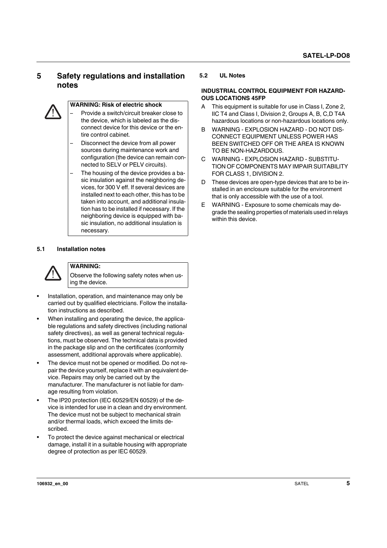## <span id="page-4-0"></span>**5 Safety regulations and installation notes**



### **WARNING: Risk of electric shock**

- Provide a switch/circuit breaker close to the device, which is labeled as the disconnect device for this device or the entire control cabinet.
- Disconnect the device from all power sources during maintenance work and configuration (the device can remain connected to SELV or PELV circuits).
- The housing of the device provides a basic insulation against the neighboring devices, for 300 V eff. If several devices are installed next to each other, this has to be taken into account, and additional insulation has to be installed if necessary. If the neighboring device is equipped with basic insulation, no additional insulation is necessary.

#### <span id="page-4-1"></span>**5.1 Installation notes**



## **WARNING:**

Observe the following safety notes when using the device.

- **•** Installation, operation, and maintenance may only be carried out by qualified electricians. Follow the installation instructions as described.
- **•** When installing and operating the device, the applicable regulations and safety directives (including national safety directives), as well as general technical regulations, must be observed. The technical data is provided in the package slip and on the certificates (conformity assessment, additional approvals where applicable).
- **•** The device must not be opened or modified. Do not repair the device yourself, replace it with an equivalent device. Repairs may only be carried out by the manufacturer. The manufacturer is not liable for damage resulting from violation.
- **•** The IP20 protection (IEC 60529/EN 60529) of the device is intended for use in a clean and dry environment. The device must not be subject to mechanical strain and/or thermal loads, which exceed the limits described.
- **•** To protect the device against mechanical or electrical damage, install it in a suitable housing with appropriate degree of protection as per IEC 60529.

#### <span id="page-4-2"></span>**5.2 UL Notes**

#### **INDUSTRIAL CONTROL EQUIPMENT FOR HAZARD-OUS LOCATIONS 45FP**

- A This equipment is suitable for use in Class I, Zone 2, IIC T4 and Class I, Division 2, Groups A, B, C,D T4A hazardous locations or non-hazardous locations only.
- B WARNING EXPLOSION HAZARD DO NOT DIS-CONNECT EQUIPMENT UNLESS POWER HAS BEEN SWITCHED OFF OR THE AREA IS KNOWN TO BE NON-HAZARDOUS.
- C WARNING EXPLOSION HAZARD SUBSTITU-TION OF COMPONENTS MAY IMPAIR SUITABILITY FOR CLASS 1, DIVISION 2.
- D These devices are open-type devices that are to be installed in an enclosure suitable for the environment that is only accessible with the use of a tool.
- E WARNING Exposure to some chemicals may degrade the sealing properties of materials used in relays within this device.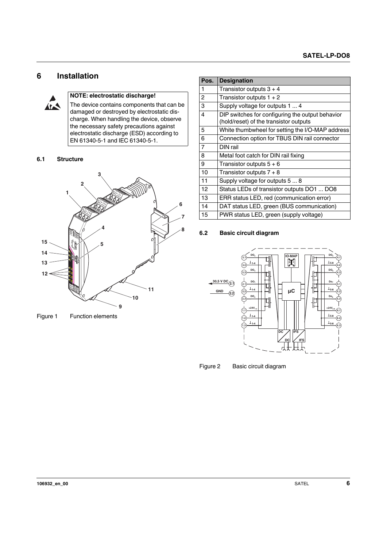## <span id="page-5-0"></span>**6 Installation**



#### **NOTE: electrostatic discharge!**

The device contains components that can be damaged or destroyed by electrostatic discharge. When handling the device, observe the necessary safety precautions against electrostatic discharge (ESD) according to EN 61340-5-1 and IEC 61340-5-1.

#### <span id="page-5-1"></span>**6.1 Structure**



Figure 1 Function elements

| Pos.           | <b>Designation</b>                               |
|----------------|--------------------------------------------------|
| 1              | Transistor outputs $3 + 4$                       |
| 2              | Transistor outputs $1 + 2$                       |
| 3              | Supply voltage for outputs 1  4                  |
| 4              | DIP switches for configuring the output behavior |
|                | (hold/reset) of the transistor outputs           |
| 5              | White thumbwheel for setting the I/O-MAP address |
| 6              | Connection option for TBUS DIN rail connector    |
| $\overline{7}$ | DIN rail                                         |
| 8              | Metal foot catch for DIN rail fixing             |
| 9              | Transistor outputs $5+6$                         |
| 10             | Transistor outputs $7 + 8$                       |
| 11             | Supply voltage for outputs 5  8                  |
| 12             | Status LEDs of transistor outputs DO1  DO8       |
| 13             | ERR status LED, red (communication error)        |
| 14             | DAT status LED, green (BUS communication)        |
| 15             | PWR status LED, green (supply voltage)           |

#### <span id="page-5-2"></span>**6.2 Basic circuit diagram**



Figure 2 Basic circuit diagram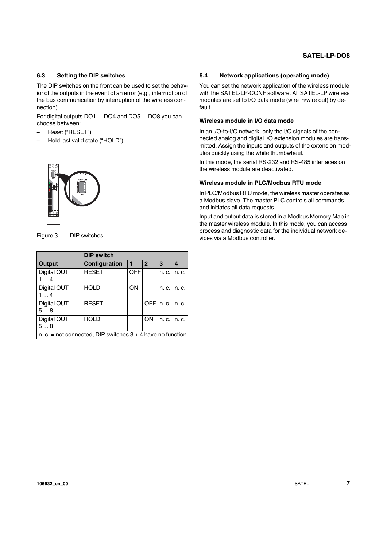#### <span id="page-6-0"></span>**6.3 Setting the DIP switches**

The DIP switches on the front can be used to set the behavior of the outputs in the event of an error (e.g., interruption of the bus communication by interruption of the wireless connection).

For digital outputs DO1 ... DO4 and DO5 ... DO8 you can choose between:

- Reset ("RESET")
- Hold last valid state ("HOLD")



Figure 3 DIP switches

|                   | <b>DIP switch</b>                                            |            |              |                  |               |
|-------------------|--------------------------------------------------------------|------------|--------------|------------------|---------------|
| Output            | <b>Configuration</b>                                         | l 1        | $\mathbf{2}$ | 3                | 4             |
| Digital OUT<br>14 | <b>RESET</b>                                                 | <b>OFF</b> |              | n. c. I          | n. c.         |
| Digital OUT<br>14 | <b>HOLD</b>                                                  | ON         |              |                  | n. c. I n. c. |
| Digital OUT<br>58 | <b>RESET</b>                                                 |            | <b>OFFI</b>  | $n. c.$ In. $c.$ |               |
| Digital OUT<br>58 | <b>HOLD</b>                                                  |            | ON           |                  | n. c. I n. c. |
|                   | n. c. = not connected. DIP switches $3 + 4$ have no function |            |              |                  |               |

#### <span id="page-6-1"></span>**6.4 Network applications (operating mode)**

You can set the network application of the wireless module with the SATEL-LP-CONF software. All SATEL-LP wireless modules are set to I/O data mode (wire in/wire out) by default.

#### **Wireless module in I/O data mode**

In an I/O-to-I/O network, only the I/O signals of the connected analog and digital I/O extension modules are transmitted. Assign the inputs and outputs of the extension modules quickly using the white thumbwheel.

In this mode, the serial RS-232 and RS-485 interfaces on the wireless module are deactivated.

#### **Wireless module in PLC/Modbus RTU mode**

In PLC/Modbus RTU mode, the wireless master operates as a Modbus slave. The master PLC controls all commands and initiates all data requests.

Input and output data is stored in a Modbus Memory Map in the master wireless module. In this mode, you can access process and diagnostic data for the individual network devices via a Modbus controller.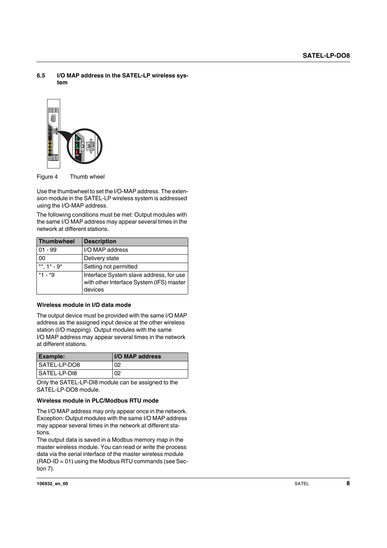<span id="page-7-0"></span>**6.5 I/O MAP address in the SATEL-LP wireless system**



Figure 4 Thumb wheel

Use the thumbwheel to set the I/O-MAP address. The extension module in the SATEL-LP wireless system is addressed using the I/O-MAP address.

The following conditions must be met: Output modules with the same I/O MAP address may appear several times in the network at different stations.

| Thumbwheel        | <b>Description</b>                                                                             |
|-------------------|------------------------------------------------------------------------------------------------|
| $01 - 99$         | I/O MAP address                                                                                |
| 00                | Delivery state                                                                                 |
| **, $1^*$ - $9^*$ | Setting not permitted                                                                          |
| $*1 - *9$         | Interface System slave address, for use<br>with other Interface System (IFS) master<br>devices |

#### **Wireless module in I/O data mode**

The output device must be provided with the same I/O MAP address as the assigned input device at the other wireless station (I/O mapping). Output modules with the same I/O MAP address may appear several times in the network at different stations.

| <b>Example:</b> | <b>II/O MAP address</b> |
|-----------------|-------------------------|
| SATEL-LP-DO8    | 02                      |
| l SATEL-LP-DI8  | 02                      |

Only the SATEL-LP-DI8 module can be assigned to the SATEL-LP-DO8 module.

#### **Wireless module in PLC/Modbus RTU mode**

The I/O MAP address may only appear once in the network. Exception: Output modules with the same I/O MAP address may appear several times in the network at different stations.

The output data is saved in a Modbus memory map in the master wireless module. You can read or write the process data via the serial interface of the master wireless module (RAD-ID = 01) using the Modbus RTU commands (see Section 7).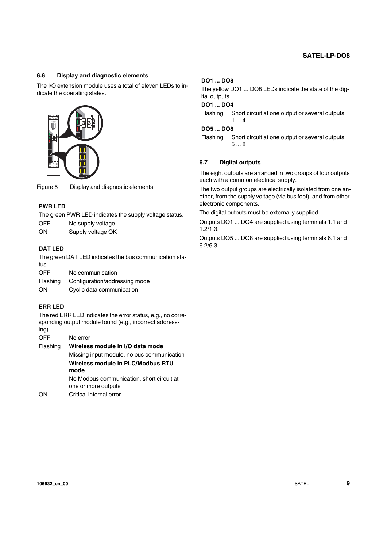## <span id="page-8-0"></span>**6.6 Display and diagnostic elements**

The I/O extension module uses a total of eleven LEDs to indicate the operating states.



Figure 5 Display and diagnostic elements

#### **PWR LED**

The green PWR LED indicates the supply voltage status.

OFF No supply voltage

ON Supply voltage OK

#### **DAT LED**

The green DAT LED indicates the bus communication status.

OFF No communication

Flashing Configuration/addressing mode

ON Cyclic data communication

## **ERR LED**

The red ERR LED indicates the error status, e.g., no corresponding output module found (e.g., incorrect addressing).

OFF No error

Flashing **Wireless module in I/O data mode** Missing input module, no bus communication **Wireless module in PLC/Modbus RTU mode** No Modbus communication, short circuit at one or more outputs

ON Critical internal error

#### **DO1 ... DO8**

The yellow DO1 ... DO8 LEDs indicate the state of the digital outputs.

## **DO1 ... DO4**

Flashing Short circuit at one output or several outputs  $1...4$ 

## **DO5 ... DO8**

Flashing Short circuit at one output or several outputs 5 ... 8

#### <span id="page-8-1"></span>**6.7 Digital outputs**

The eight outputs are arranged in two groups of four outputs each with a common electrical supply.

The two output groups are electrically isolated from one another, from the supply voltage (via bus foot), and from other electronic components.

The digital outputs must be externally supplied.

Outputs DO1 ... DO4 are supplied using terminals 1.1 and 1.2/1.3.

Outputs DO5 ... DO8 are supplied using terminals 6.1 and 6.2/6.3.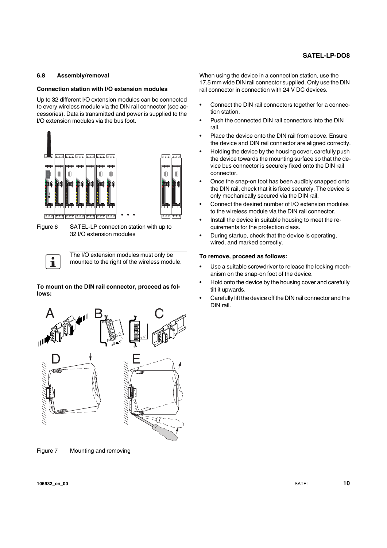#### <span id="page-9-0"></span>**6.8 Assembly/removal**

#### **Connection station with I/O extension modules**

Up to 32 different I/O extension modules can be connected to every wireless module via the DIN rail connector (see accessories). Data is transmitted and power is supplied to the I/O extension modules via the bus foot.



Figure 6 SATEL-LP connection station with up to 32 I/O extension modules

The I/O extension modules must only be mounted to the right of the wireless module.

**To mount on the DIN rail connector, proceed as follows:**



Figure 7 Mounting and removing

When using the device in a connection station, use the 17.5 mm wide DIN rail connector supplied. Only use the DIN rail connector in connection with 24 V DC devices.

- **•** Connect the DIN rail connectors together for a connection station.
- **•** Push the connected DIN rail connectors into the DIN rail.
- **•** Place the device onto the DIN rail from above. Ensure the device and DIN rail connector are aligned correctly.
- **•** Holding the device by the housing cover, carefully push the device towards the mounting surface so that the device bus connector is securely fixed onto the DIN rail connector.
- **•** Once the snap-on foot has been audibly snapped onto the DIN rail, check that it is fixed securely. The device is only mechanically secured via the DIN rail.
- **•** Connect the desired number of I/O extension modules to the wireless module via the DIN rail connector.
- **•** Install the device in suitable housing to meet the requirements for the protection class.
- **•** During startup, check that the device is operating, wired, and marked correctly.

#### **To remove, proceed as follows:**

- **•** Use a suitable screwdriver to release the locking mechanism on the snap-on foot of the device.
- **•** Hold onto the device by the housing cover and carefully tilt it upwards.
- **•** Carefully lift the device off the DIN rail connector and the DIN rail.

 $\mathbf{i}$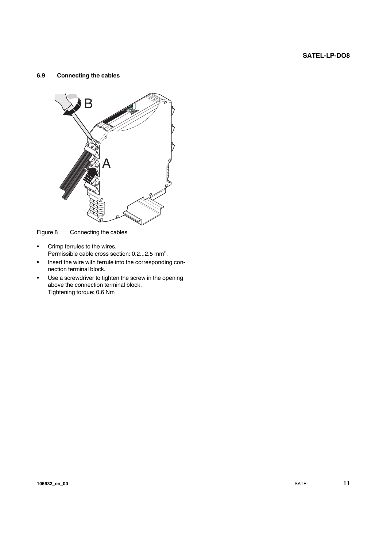#### <span id="page-10-0"></span>**6.9 Connecting the cables**



Figure 8 Connecting the cables

- **•** Crimp ferrules to the wires. Permissible cable cross section: 0.2...2.5 mm².
- **•** Insert the wire with ferrule into the corresponding connection terminal block.
- **•** Use a screwdriver to tighten the screw in the opening above the connection terminal block. Tightening torque: 0.6 Nm